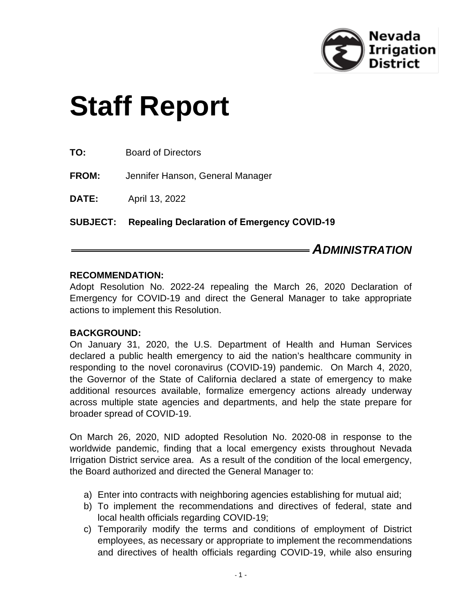

# **Staff Report**

**FROM:** Jennifer Hanson, General Manager

**DATE:** April 13, 2022

**SUBJECT: Repealing Declaration of Emergency COVID-19**

# *ADMINISTRATION*

#### **RECOMMENDATION:**

Adopt Resolution No. 2022-24 repealing the March 26, 2020 Declaration of Emergency for COVID-19 and direct the General Manager to take appropriate actions to implement this Resolution.

#### **BACKGROUND:**

On January 31, 2020, the U.S. Department of Health and Human Services declared a public health emergency to aid the nation's healthcare community in responding to the novel coronavirus (COVID-19) pandemic. On March 4, 2020, the Governor of the State of California declared a state of emergency to make additional resources available, formalize emergency actions already underway across multiple state agencies and departments, and help the state prepare for broader spread of COVID-19.

On March 26, 2020, NID adopted Resolution No. 2020-08 in response to the worldwide pandemic, finding that a local emergency exists throughout Nevada Irrigation District service area. As a result of the condition of the local emergency, the Board authorized and directed the General Manager to:

- a) Enter into contracts with neighboring agencies establishing for mutual aid;
- b) To implement the recommendations and directives of federal, state and local health officials regarding COVID-19;
- c) Temporarily modify the terms and conditions of employment of District employees, as necessary or appropriate to implement the recommendations and directives of health officials regarding COVID-19, while also ensuring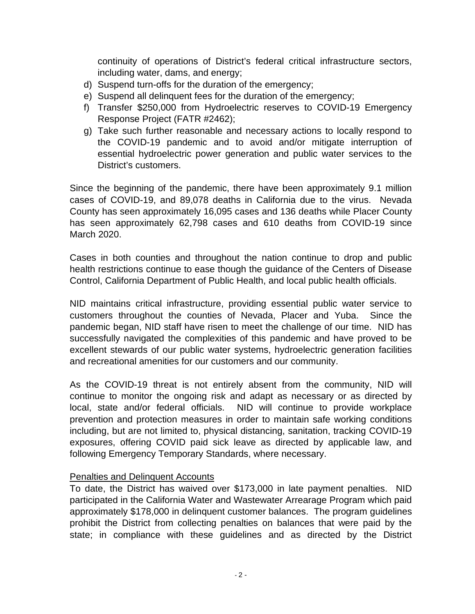continuity of operations of District's federal critical infrastructure sectors, including water, dams, and energy;

- d) Suspend turn-offs for the duration of the emergency;
- e) Suspend all delinquent fees for the duration of the emergency;
- f) Transfer \$250,000 from Hydroelectric reserves to COVID-19 Emergency Response Project (FATR #2462);
- g) Take such further reasonable and necessary actions to locally respond to the COVID-19 pandemic and to avoid and/or mitigate interruption of essential hydroelectric power generation and public water services to the District's customers.

Since the beginning of the pandemic, there have been approximately 9.1 million cases of COVID-19, and 89,078 deaths in California due to the virus. Nevada County has seen approximately 16,095 cases and 136 deaths while Placer County has seen approximately 62,798 cases and 610 deaths from COVID-19 since March 2020.

Cases in both counties and throughout the nation continue to drop and public health restrictions continue to ease though the guidance of the Centers of Disease Control, California Department of Public Health, and local public health officials.

NID maintains critical infrastructure, providing essential public water service to customers throughout the counties of Nevada, Placer and Yuba. Since the pandemic began, NID staff have risen to meet the challenge of our time. NID has successfully navigated the complexities of this pandemic and have proved to be excellent stewards of our public water systems, hydroelectric generation facilities and recreational amenities for our customers and our community.

As the COVID-19 threat is not entirely absent from the community, NID will continue to monitor the ongoing risk and adapt as necessary or as directed by local, state and/or federal officials. NID will continue to provide workplace prevention and protection measures in order to maintain safe working conditions including, but are not limited to, physical distancing, sanitation, tracking COVID-19 exposures, offering COVID paid sick leave as directed by applicable law, and following Emergency Temporary Standards, where necessary.

#### Penalties and Delinquent Accounts

To date, the District has waived over \$173,000 in late payment penalties. NID participated in the California Water and Wastewater Arrearage Program which paid approximately \$178,000 in delinquent customer balances. The program guidelines prohibit the District from collecting penalties on balances that were paid by the state; in compliance with these guidelines and as directed by the District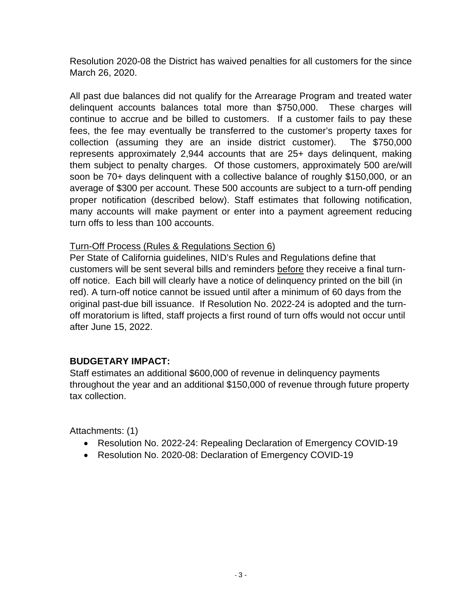Resolution 2020-08 the District has waived penalties for all customers for the since March 26, 2020.

All past due balances did not qualify for the Arrearage Program and treated water delinquent accounts balances total more than \$750,000. These charges will continue to accrue and be billed to customers. If a customer fails to pay these fees, the fee may eventually be transferred to the customer's property taxes for collection (assuming they are an inside district customer). The \$750,000 represents approximately 2,944 accounts that are 25+ days delinquent, making them subject to penalty charges. Of those customers, approximately 500 are/will soon be 70+ days delinquent with a collective balance of roughly \$150,000, or an average of \$300 per account. These 500 accounts are subject to a turn-off pending proper notification (described below). Staff estimates that following notification, many accounts will make payment or enter into a payment agreement reducing turn offs to less than 100 accounts.

#### Turn-Off Process (Rules & Regulations Section 6)

Per State of California guidelines, NID's Rules and Regulations define that customers will be sent several bills and reminders before they receive a final turnoff notice. Each bill will clearly have a notice of delinquency printed on the bill (in red). A turn-off notice cannot be issued until after a minimum of 60 days from the original past-due bill issuance. If Resolution No. 2022-24 is adopted and the turnoff moratorium is lifted, staff projects a first round of turn offs would not occur until after June 15, 2022.

#### **BUDGETARY IMPACT:**

Staff estimates an additional \$600,000 of revenue in delinquency payments throughout the year and an additional \$150,000 of revenue through future property tax collection.

Attachments: (1)

- Resolution No. 2022-24: Repealing Declaration of Emergency COVID-19
- Resolution No. 2020-08: Declaration of Emergency COVID-19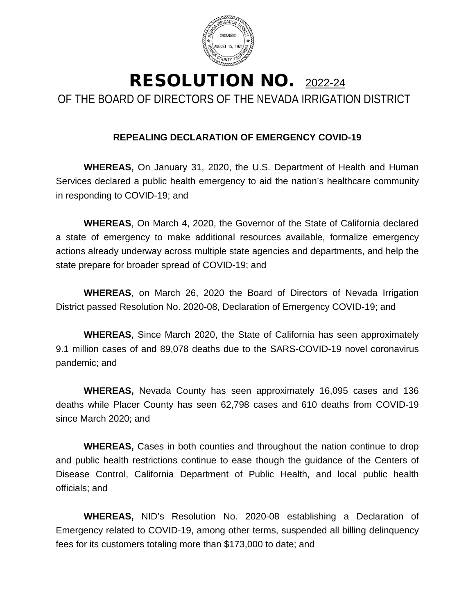

# RESOLUTION NO. 2022-24 OF THE BOARD OF DIRECTORS OF THE NEVADA IRRIGATION DISTRICT

### **REPEALING DECLARATION OF EMERGENCY COVID-19**

**WHEREAS,** On January 31, 2020, the U.S. Department of Health and Human Services declared a public health emergency to aid the nation's healthcare community in responding to COVID-19; and

**WHEREAS**, On March 4, 2020, the Governor of the State of California declared a state of emergency to make additional resources available, formalize emergency actions already underway across multiple state agencies and departments, and help the state prepare for broader spread of COVID-19; and

**WHEREAS**, on March 26, 2020 the Board of Directors of Nevada Irrigation District passed Resolution No. 2020-08, Declaration of Emergency COVID-19; and

**WHEREAS**, Since March 2020, the State of California has seen approximately 9.1 million cases of and 89,078 deaths due to the SARS-COVID-19 novel coronavirus pandemic; and

**WHEREAS,** Nevada County has seen approximately 16,095 cases and 136 deaths while Placer County has seen 62,798 cases and 610 deaths from COVID-19 since March 2020; and

**WHEREAS,** Cases in both counties and throughout the nation continue to drop and public health restrictions continue to ease though the guidance of the Centers of Disease Control, California Department of Public Health, and local public health officials; and

**WHEREAS,** NID's Resolution No. 2020-08 establishing a Declaration of Emergency related to COVID-19, among other terms, suspended all billing delinquency fees for its customers totaling more than \$173,000 to date; and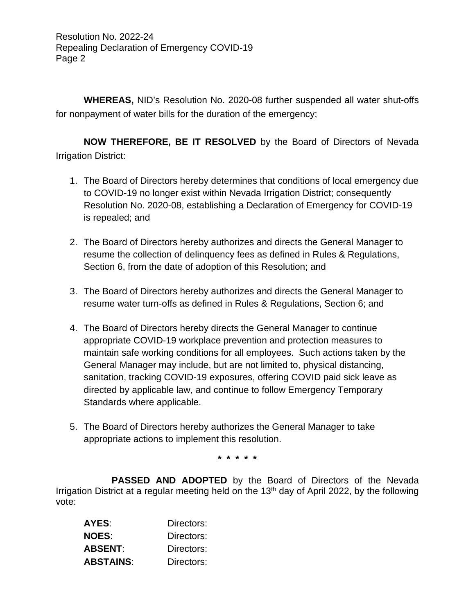Resolution No. 2022-24 Repealing Declaration of Emergency COVID-19 Page 2

**WHEREAS,** NID's Resolution No. 2020-08 further suspended all water shut-offs for nonpayment of water bills for the duration of the emergency;

**NOW THEREFORE, BE IT RESOLVED** by the Board of Directors of Nevada Irrigation District:

- 1. The Board of Directors hereby determines that conditions of local emergency due to COVID-19 no longer exist within Nevada Irrigation District; consequently Resolution No. 2020-08, establishing a Declaration of Emergency for COVID-19 is repealed; and
- 2. The Board of Directors hereby authorizes and directs the General Manager to resume the collection of delinquency fees as defined in Rules & Regulations, Section 6, from the date of adoption of this Resolution; and
- 3. The Board of Directors hereby authorizes and directs the General Manager to resume water turn-offs as defined in Rules & Regulations, Section 6; and
- 4. The Board of Directors hereby directs the General Manager to continue appropriate COVID-19 workplace prevention and protection measures to maintain safe working conditions for all employees. Such actions taken by the General Manager may include, but are not limited to, physical distancing, sanitation, tracking COVID-19 exposures, offering COVID paid sick leave as directed by applicable law, and continue to follow Emergency Temporary Standards where applicable.
- 5. The Board of Directors hereby authorizes the General Manager to take appropriate actions to implement this resolution.

**\* \* \* \* \***

**PASSED AND ADOPTED** by the Board of Directors of the Nevada Irrigation District at a regular meeting held on the 13<sup>th</sup> day of April 2022, by the following vote:

| AYES:            | Directors: |
|------------------|------------|
| NOES:            | Directors: |
| ABSENT:          | Directors: |
| <b>ABSTAINS:</b> | Directors: |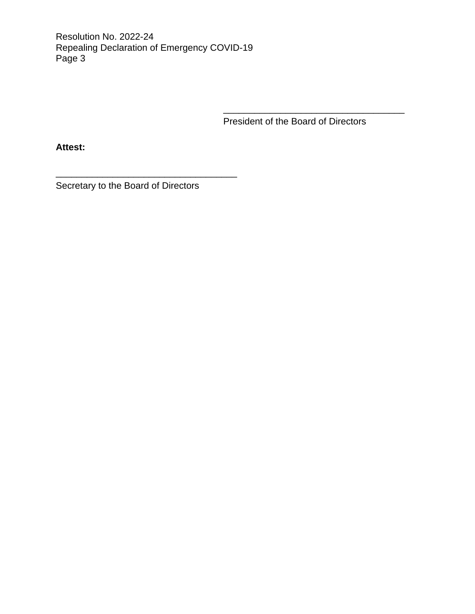Resolution No. 2022-24 Repealing Declaration of Emergency COVID-19 Page 3

President of the Board of Directors

\_\_\_\_\_\_\_\_\_\_\_\_\_\_\_\_\_\_\_\_\_\_\_\_\_\_\_\_\_\_\_\_\_\_\_

**Attest:**

Secretary to the Board of Directors

\_\_\_\_\_\_\_\_\_\_\_\_\_\_\_\_\_\_\_\_\_\_\_\_\_\_\_\_\_\_\_\_\_\_\_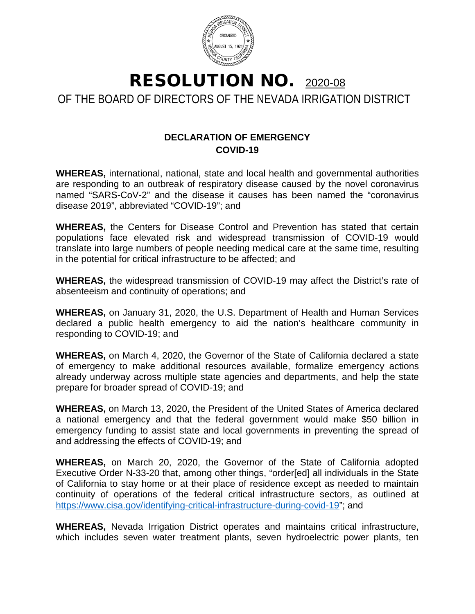

RESOLUTION NO. 2020-08 OF THE BOARD OF DIRECTORS OF THE NEVADA IRRIGATION DISTRICT

## **DECLARATION OF EMERGENCY COVID-19**

**WHEREAS,** international, national, state and local health and governmental authorities are responding to an outbreak of respiratory disease caused by the novel coronavirus named "SARS-CoV-2" and the disease it causes has been named the "coronavirus disease 2019", abbreviated "COVID-19"; and

**WHEREAS,** the Centers for Disease Control and Prevention has stated that certain populations face elevated risk and widespread transmission of COVID-19 would translate into large numbers of people needing medical care at the same time, resulting in the potential for critical infrastructure to be affected; and

**WHEREAS,** the widespread transmission of COVID-19 may affect the District's rate of absenteeism and continuity of operations; and

**WHEREAS,** on January 31, 2020, the U.S. Department of Health and Human Services declared a public health emergency to aid the nation's healthcare community in responding to COVID-19; and

**WHEREAS,** on March 4, 2020, the Governor of the State of California declared a state of emergency to make additional resources available, formalize emergency actions already underway across multiple state agencies and departments, and help the state prepare for broader spread of COVID-19; and

**WHEREAS,** on March 13, 2020, the President of the United States of America declared a national emergency and that the federal government would make \$50 billion in emergency funding to assist state and local governments in preventing the spread of and addressing the effects of COVID-19; and

**WHEREAS,** on March 20, 2020, the Governor of the State of California adopted Executive Order N-33-20 that, among other things, "order[ed] all individuals in the State of California to stay home or at their place of residence except as needed to maintain continuity of operations of the federal critical infrastructure sectors, as outlined at [https://www.cisa.gov/identifying-critical-infrastructure-during-covid-19"](https://www.cisa.gov/identifying-critical-infrastructure-during-covid-19); and

**WHEREAS,** Nevada Irrigation District operates and maintains critical infrastructure, which includes seven water treatment plants, seven hydroelectric power plants, ten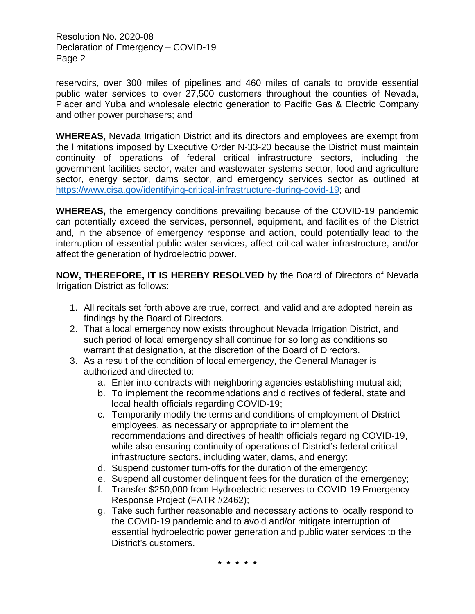Resolution No. 2020-08 Declaration of Emergency – COVID-19 Page 2

reservoirs, over 300 miles of pipelines and 460 miles of canals to provide essential public water services to over 27,500 customers throughout the counties of Nevada, Placer and Yuba and wholesale electric generation to Pacific Gas & Electric Company and other power purchasers; and

**WHEREAS,** Nevada Irrigation District and its directors and employees are exempt from the limitations imposed by Executive Order N-33-20 because the District must maintain continuity of operations of federal critical infrastructure sectors, including the government facilities sector, water and wastewater systems sector, food and agriculture sector, energy sector, dams sector, and emergency services sector as outlined at [https://www.cisa.gov/identifying-critical-infrastructure-during-covid-19;](https://www.cisa.gov/identifying-critical-infrastructure-during-covid-19) and

**WHEREAS,** the emergency conditions prevailing because of the COVID-19 pandemic can potentially exceed the services, personnel, equipment, and facilities of the District and, in the absence of emergency response and action, could potentially lead to the interruption of essential public water services, affect critical water infrastructure, and/or affect the generation of hydroelectric power.

**NOW, THEREFORE, IT IS HEREBY RESOLVED** by the Board of Directors of Nevada Irrigation District as follows:

- 1. All recitals set forth above are true, correct, and valid and are adopted herein as findings by the Board of Directors.
- 2. That a local emergency now exists throughout Nevada Irrigation District, and such period of local emergency shall continue for so long as conditions so warrant that designation, at the discretion of the Board of Directors.
- 3. As a result of the condition of local emergency, the General Manager is authorized and directed to:
	- a. Enter into contracts with neighboring agencies establishing mutual aid;
	- b. To implement the recommendations and directives of federal, state and local health officials regarding COVID-19;
	- c. Temporarily modify the terms and conditions of employment of District employees, as necessary or appropriate to implement the recommendations and directives of health officials regarding COVID-19, while also ensuring continuity of operations of District's federal critical infrastructure sectors, including water, dams, and energy;
	- d. Suspend customer turn-offs for the duration of the emergency;
	- e. Suspend all customer delinquent fees for the duration of the emergency;
	- f. Transfer \$250,000 from Hydroelectric reserves to COVID-19 Emergency Response Project (FATR #2462);
	- g. Take such further reasonable and necessary actions to locally respond to the COVID-19 pandemic and to avoid and/or mitigate interruption of essential hydroelectric power generation and public water services to the District's customers.

**\* \* \* \* \***